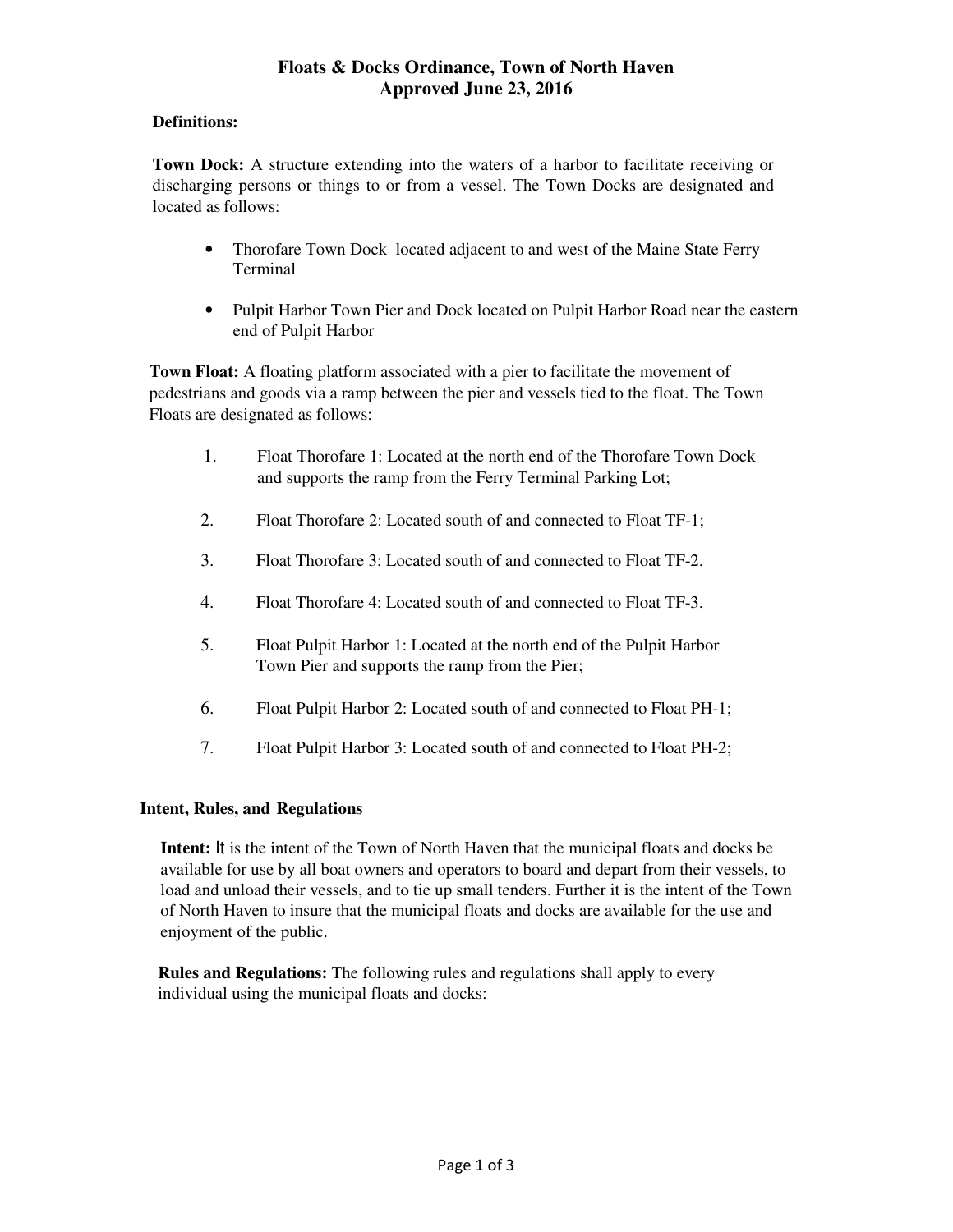# **Floats & Docks Ordinance, Town of North Haven Approved June 23, 2016**

#### **Definitions:**

**Town Dock:** A structure extending into the waters of a harbor to facilitate receiving or discharging persons or things to or from a vessel. The Town Docks are designated and located as follows:

- Thorofare Town Dock located adjacent to and west of the Maine State Ferry Terminal
- Pulpit Harbor Town Pier and Dock located on Pulpit Harbor Road near the eastern end of Pulpit Harbor

**Town Float:** A floating platform associated with a pier to facilitate the movement of pedestrians and goods via a ramp between the pier and vessels tied to the float. The Town Floats are designated as follows:

- 1. Float Thorofare 1: Located at the north end of the Thorofare Town Dock and supports the ramp from the Ferry Terminal Parking Lot;
- 2. Float Thorofare 2: Located south of and connected to Float TF-1;
- 3. Float Thorofare 3: Located south of and connected to Float TF-2.
- 4. Float Thorofare 4: Located south of and connected to Float TF-3.
- 5. Float Pulpit Harbor 1: Located at the north end of the Pulpit Harbor Town Pier and supports the ramp from the Pier;
- 6. Float Pulpit Harbor 2: Located south of and connected to Float PH-1;
- 7. Float Pulpit Harbor 3: Located south of and connected to Float PH-2;

## **Intent, Rules, and Regulations**

**Intent:** It is the intent of the Town of North Haven that the municipal floats and docks be available for use by all boat owners and operators to board and depart from their vessels, to load and unload their vessels, and to tie up small tenders. Further it is the intent of the Town of North Haven to insure that the municipal floats and docks are available for the use and enjoyment of the public.

**Rules and Regulations:** The following rules and regulations shall apply to every individual using the municipal floats and docks: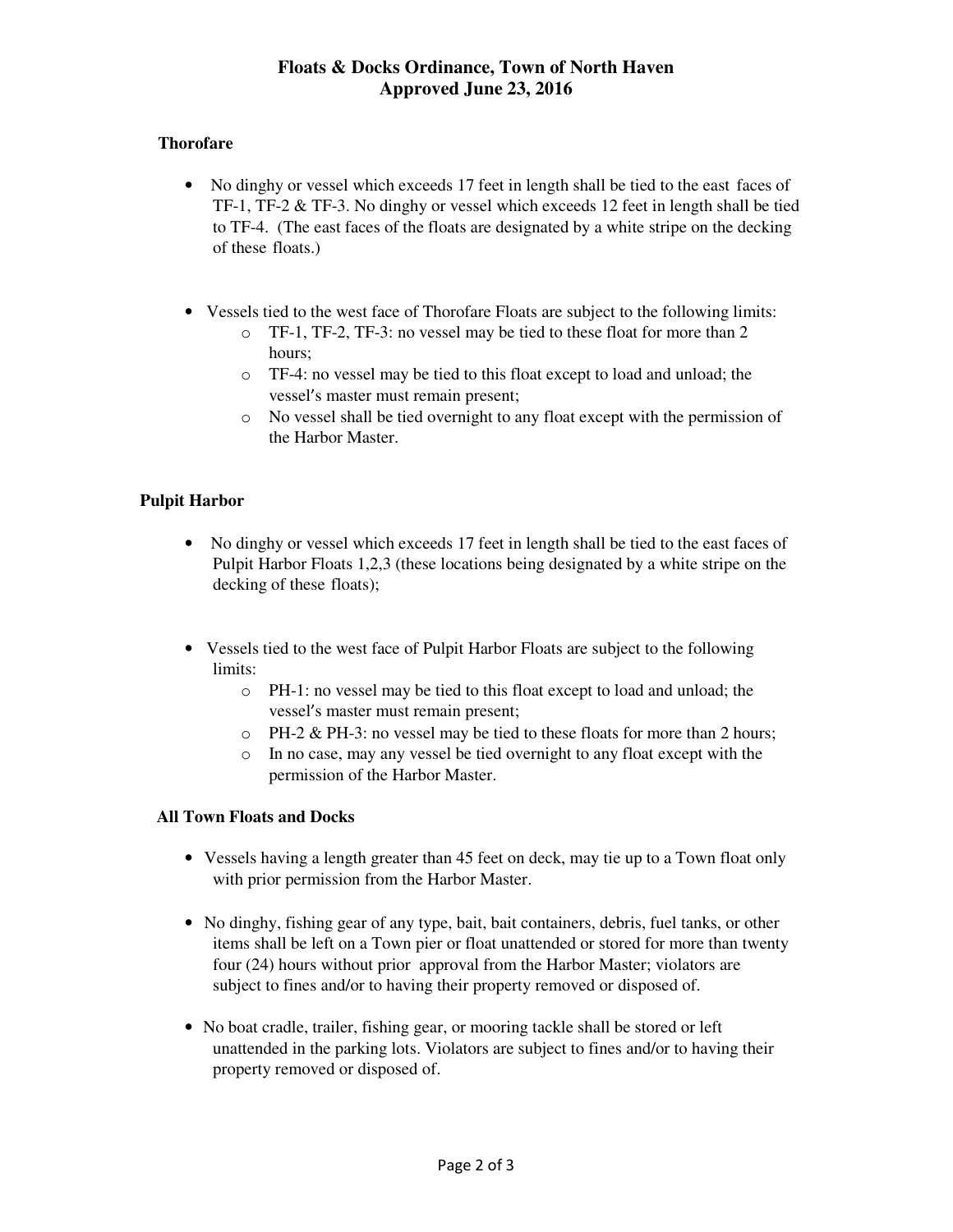# **Floats & Docks Ordinance, Town of North Haven Approved June 23, 2016**

### **Thorofare**

- No dinghy or vessel which exceeds 17 feet in length shall be tied to the east faces of TF-1, TF-2 & TF-3. No dinghy or vessel which exceeds 12 feet in length shall be tied to TF-4. (The east faces of the floats are designated by a white stripe on the decking of these floats.)
- Vessels tied to the west face of Thorofare Floats are subject to the following limits:
	- o TF-1, TF-2, TF-3: no vessel may be tied to these float for more than 2 hours;
	- o TF-4: no vessel may be tied to this float except to load and unload; the vessel's master must remain present;
	- o No vessel shall be tied overnight to any float except with the permission of the Harbor Master.

## **Pulpit Harbor**

- No dinghy or vessel which exceeds 17 feet in length shall be tied to the east faces of Pulpit Harbor Floats 1,2,3 (these locations being designated by a white stripe on the decking of these floats);
- Vessels tied to the west face of Pulpit Harbor Floats are subject to the following limits:
	- o PH-1: no vessel may be tied to this float except to load and unload; the vessel's master must remain present;
	- o PH-2 & PH-3: no vessel may be tied to these floats for more than 2 hours;
	- o In no case, may any vessel be tied overnight to any float except with the permission of the Harbor Master.

## **All Town Floats and Docks**

- Vessels having a length greater than 45 feet on deck, may tie up to a Town float only with prior permission from the Harbor Master.
- No dinghy, fishing gear of any type, bait, bait containers, debris, fuel tanks, or other items shall be left on a Town pier or float unattended or stored for more than twenty four (24) hours without prior approval from the Harbor Master; violators are subject to fines and/or to having their property removed or disposed of.
- No boat cradle, trailer, fishing gear, or mooring tackle shall be stored or left unattended in the parking lots. Violators are subject to fines and/or to having their property removed or disposed of.